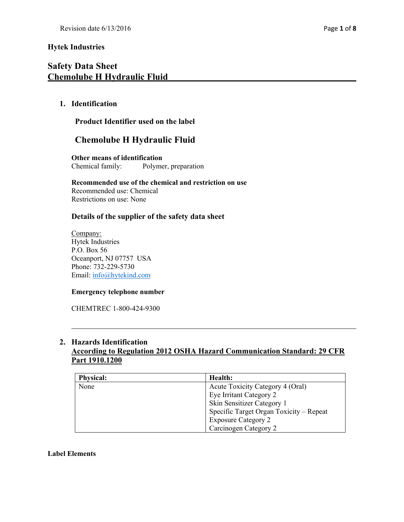# **Safety Data Sheet Chemolube H Hydraulic Fluid**

# **1. Identification**

# **Product Identifier used on the label**

# **Chemolube H Hydraulic Fluid**

**Other means of identification** Chemical family: Polymer, preparation

**Recommended use of the chemical and restriction on use** Recommended use: Chemical Restrictions on use: None

# **Details of the supplier of the safety data sheet**

Company: Hytek Industries P.O. Box 56 Oceanport, NJ 07757 USA Phone: 732-229-5730 Email: info@hytekind.com

### **Emergency telephone number**

CHEMTREC 1-800-424-9300

# **2. Hazards Identification**

# **According to Regulation 2012 OSHA Hazard Communication Standard: 29 CFR Part 1910.1200**

| <b>Physical:</b> | Health:                                 |
|------------------|-----------------------------------------|
| None             | Acute Toxicity Category 4 (Oral)        |
|                  | Eye Irritant Category 2                 |
|                  | Skin Sensitizer Category 1              |
|                  | Specific Target Organ Toxicity - Repeat |
|                  | <b>Exposure Category 2</b>              |
|                  | Carcinogen Category 2                   |

### **Label Elements**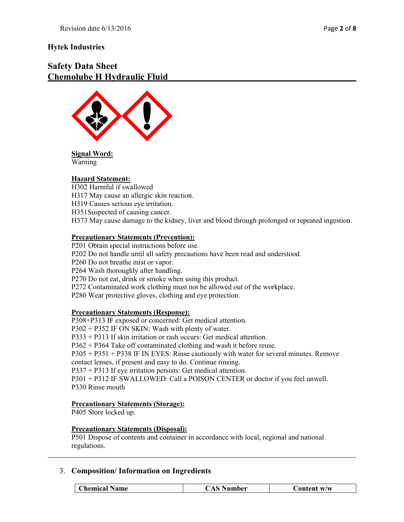# **Safety Data Sheet Chemolube H Hydraulic Fluid**





### **Hazard Statement:**

H302 Harmful if swallowed H317 May cause an allergic skin reaction. H319 Causes serious eye irritation. H351Suspected of causing cancer. H373 May cause damage to the kidney, liver and blood through prolonged or repeated ingestion.

#### **Precautionary Statements (Prevention):**

P201 Obtain special instructions before use.

P202 Do not handle until all safety precautions have been read and understood.

P260 Do not breathe mist or vapor.

P264 Wash thoroughly after handling.

P270 Do not eat, drink or smoke when using this product.

P272 Contaminated work clothing must not be allowed out of the workplace.

P280 Wear protective gloves, clothing and eye protection.

#### **Precautionary Statements (Response):**

P308+P313 IF exposed or concerned: Get medical attention.

P302 + P352 IF ON SKIN: Wash with plenty of water.

P333 + P313 If skin irritation or rash occurs: Get medical attention.

P362 + P364 Take off contaminated clothing and wash it before reuse.

P305 + P351 + P338 IF IN EYES: Rinse cautiously with water for several minutes. Remove contact lenses, if present and easy to do. Continue rinsing.

P337 + P313 If eye irritation persists: Get medical attention.

P301 + P312 IF SWALLOWED: Call a POISON CENTER or doctor if you feel unwell. P330 Rinse mouth

#### **Precautionary Statements (Storage):**

P405 Store locked up.

### **Precautionary Statements (Disposal):**

P501 Dispose of contents and container in accordance with local, regional and national regulations.

### 3. **Composition/ Information on Ingredients**

| <b>Chemical Name</b> | <b>CAS Number</b> | Content w/w |
|----------------------|-------------------|-------------|
|                      |                   |             |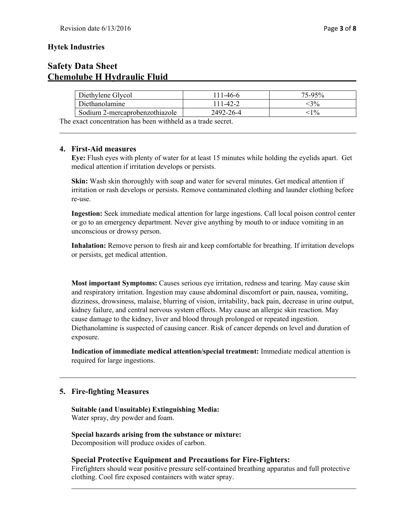# **Safety Data Sheet Chemolube H Hydraulic Fluid**

| Diethylene Glycol              | $11-46-6$     | $75-95%$        |
|--------------------------------|---------------|-----------------|
| Diethanolamine                 | $11 - 42 - 2$ | 3%              |
| Sodium 2-mercaprobenzothiazole | 2492-26-4     | 10 <sub>o</sub> |

The exact concentration has been withheld as a trade secret.

# **4. First-Aid measures**

**Eye:** Flush eyes with plenty of water for at least 15 minutes while holding the eyelids apart. Get medical attention if irritation develops or persists.

**Skin:** Wash skin thoroughly with soap and water for several minutes. Get medical attention if irritation or rash develops or persists. Remove contaminated clothing and launder clothing before re-use.

**Ingestion:** Seek immediate medical attention for large ingestions. Call local poison control center or go to an emergency department. Never give anything by mouth to or induce vomiting in an unconscious or drowsy person.

**Inhalation:** Remove person to fresh air and keep comfortable for breathing. If irritation develops or persists, get medical attention.

**Most important Symptoms:** Causes serious eye irritation, redness and tearing. May cause skin and respiratory irritation. Ingestion may cause abdominal discomfort or pain, nausea, vomiting, dizziness, drowsiness, malaise, blurring of vision, irritability, back pain, decrease in urine output, kidney failure, and central nervous system effects. May cause an allergic skin reaction. May cause damage to the kidney, liver and blood through prolonged or repeated ingestion. Diethanolamine is suspected of causing cancer. Risk of cancer depends on level and duration of exposure.

**Indication of immediate medical attention/special treatment:** Immediate medical attention is required for large ingestions.

# **5. Fire-fighting Measures**

**Suitable (and Unsuitable) Extinguishing Media:** Water spray, dry powder and foam.

**Special hazards arising from the substance or mixture:** Decomposition will produce oxides of carbon.

# **Special Protective Equipment and Precautions for Fire-Fighters:**

Firefighters should wear positive pressure self-contained breathing apparatus and full protective clothing. Cool fire exposed containers with water spray.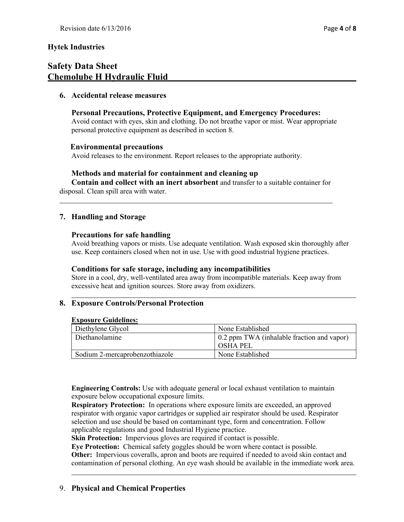# **Safety Data Sheet Chemolube H Hydraulic Fluid**

### **6. Accidental release measures**

# **Personal Precautions, Protective Equipment, and Emergency Procedures:**

Avoid contact with eyes, skin and clothing. Do not breathe vapor or mist. Wear appropriate personal protective equipment as described in section 8.

### **Environmental precautions**

Avoid releases to the environment. Report releases to the appropriate authority.

### **Methods and material for containment and cleaning up**

**Contain and collect with an inert absorbent** and transfer to a suitable container for disposal. Clean spill area with water.

# **7. Handling and Storage**

### **Precautions for safe handling**

Avoid breathing vapors or mists. Use adequate ventilation. Wash exposed skin thoroughly after use. Keep containers closed when not in use. Use with good industrial hygiene practices.

### **Conditions for safe storage, including any incompatibilities**

Store in a cool, dry, well-ventilated area away from incompatible materials. Keep away from excessive heat and ignition sources. Store away from oxidizers.

# **8. Exposure Controls/Personal Protection**

#### **Exposure Guidelines:**

| Diethylene Glycol              | None Established                           |
|--------------------------------|--------------------------------------------|
| Diethanolamine                 | 0.2 ppm TWA (inhalable fraction and vapor) |
|                                | <b>OSHA PEL</b>                            |
| Sodium 2-mercaprobenzothiazole | None Established                           |

**Engineering Controls:** Use with adequate general or local exhaust ventilation to maintain exposure below occupational exposure limits.

**Respiratory Protection:** In operations where exposure limits are exceeded, an approved respirator with organic vapor cartridges or supplied air respirator should be used. Respirator selection and use should be based on contaminant type, form and concentration. Follow applicable regulations and good Industrial Hygiene practice.

**Skin Protection:** Impervious gloves are required if contact is possible.

**Eye Protection:** Chemical safety goggles should be worn where contact is possible.

**Other:** Impervious coveralls, apron and boots are required if needed to avoid skin contact and contamination of personal clothing. An eye wash should be available in the immediate work area.

# 9. **Physical and Chemical Properties**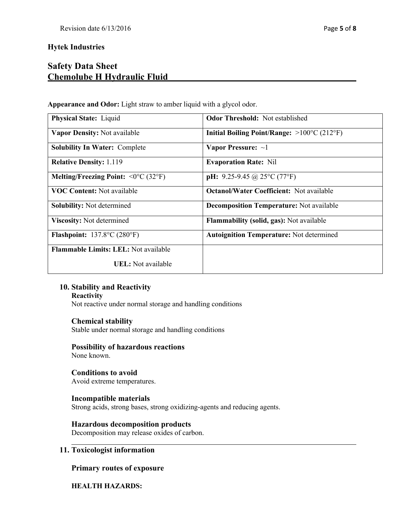# **Safety Data Sheet Chemolube H Hydraulic Fluid**

**Appearance and Odor:** Light straw to amber liquid with a glycol odor.

| <b>Physical State: Liquid</b>                                      | <b>Odor Threshold:</b> Not established                     |
|--------------------------------------------------------------------|------------------------------------------------------------|
| Vapor Density: Not available                                       | Initial Boiling Point/Range: $>100^{\circ}C(212^{\circ}F)$ |
| <b>Solubility In Water: Complete</b>                               | Vapor Pressure: $\sim$ 1                                   |
| <b>Relative Density: 1.119</b>                                     | <b>Evaporation Rate: Nil</b>                               |
| Melting/Freezing Point: $\langle 0^{\circ}C (32^{\circ}F) \rangle$ | <b>pH:</b> 9.25-9.45 @ 25 $^{\circ}$ C (77 $^{\circ}$ F)   |
| <b>VOC Content:</b> Not available                                  | <b>Octanol/Water Coefficient:</b> Not available            |
| <b>Solubility:</b> Not determined                                  | <b>Decomposition Temperature:</b> Not available            |
| <b>Viscosity:</b> Not determined                                   | <b>Flammability (solid, gas):</b> Not available            |
| <b>Flashpoint:</b> $137.8^{\circ}C(280^{\circ}F)$                  | <b>Autoignition Temperature: Not determined</b>            |
| <b>Flammable Limits: LEL: Not available</b>                        |                                                            |
| <b>UEL</b> : Not available                                         |                                                            |

# **10. Stability and Reactivity**

#### **Reactivity**

Not reactive under normal storage and handling conditions

### **Chemical stability**

Stable under normal storage and handling conditions

# **Possibility of hazardous reactions**

None known.

#### **Conditions to avoid** Avoid extreme temperatures.

# **Incompatible materials**

Strong acids, strong bases, strong oxidizing-agents and reducing agents.

# **Hazardous decomposition products**

Decomposition may release oxides of carbon.

# **11. Toxicologist information**

# **Primary routes of exposure**

# **HEALTH HAZARDS:**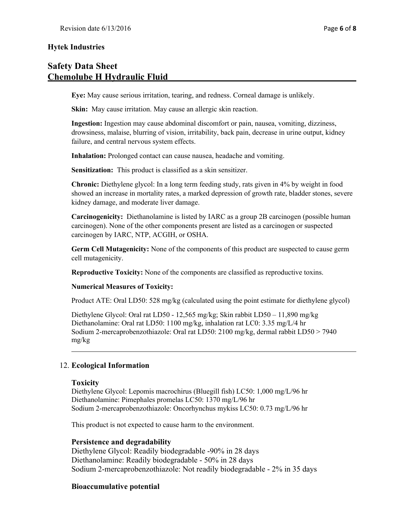# **Safety Data Sheet Chemolube H Hydraulic Fluid**

**Eye:** May cause serious irritation, tearing, and redness. Corneal damage is unlikely.

**Skin:** May cause irritation. May cause an allergic skin reaction.

**Ingestion:** Ingestion may cause abdominal discomfort or pain, nausea, vomiting, dizziness, drowsiness, malaise, blurring of vision, irritability, back pain, decrease in urine output, kidney failure, and central nervous system effects.

**Inhalation:** Prolonged contact can cause nausea, headache and vomiting.

**Sensitization:** This product is classified as a skin sensitizer.

**Chronic:** Diethylene glycol: In a long term feeding study, rats given in 4% by weight in food showed an increase in mortality rates, a marked depression of growth rate, bladder stones, severe kidney damage, and moderate liver damage.

**Carcinogenicity:** Diethanolamine is listed by IARC as a group 2B carcinogen (possible human carcinogen). None of the other components present are listed as a carcinogen or suspected carcinogen by IARC, NTP, ACGIH, or OSHA.

**Germ Cell Mutagenicity:** None of the components of this product are suspected to cause germ cell mutagenicity.

**Reproductive Toxicity:** None of the components are classified as reproductive toxins.

### **Numerical Measures of Toxicity:**

Product ATE: Oral LD50: 528 mg/kg (calculated using the point estimate for diethylene glycol)

Diethylene Glycol: Oral rat LD50 - 12,565 mg/kg; Skin rabbit LD50 – 11,890 mg/kg Diethanolamine: Oral rat LD50: 1100 mg/kg, inhalation rat LC0: 3.35 mg/L/4 hr Sodium 2-mercaprobenzothiazole: Oral rat LD50: 2100 mg/kg, dermal rabbit LD50 > 7940 mg/kg

### 12. **Ecological Information**

#### **Toxicity**

Diethylene Glycol: Lepomis macrochirus (Bluegill fish) LC50: 1,000 mg/L/96 hr Diethanolamine: Pimephales promelas LC50: 1370 mg/L/96 hr Sodium 2-mercaprobenzothiazole: Oncorhynchus mykiss LC50: 0.73 mg/L/96 hr

This product is not expected to cause harm to the environment.

### **Persistence and degradability**

Diethylene Glycol: Readily biodegradable -90% in 28 days Diethanolamine: Readily biodegradable - 50% in 28 days Sodium 2-mercaprobenzothiazole: Not readily biodegradable - 2% in 35 days

### **Bioaccumulative potential**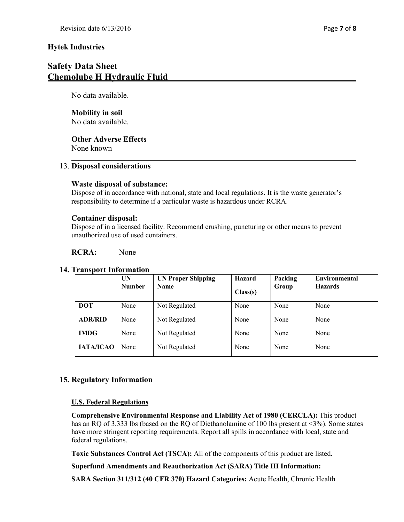# **Safety Data Sheet Chemolube H Hydraulic Fluid**

No data available.

### **Mobility in soil** No data available.

**Other Adverse Effects**

None known

# 13. **Disposal considerations**

# **Waste disposal of substance:**

Dispose of in accordance with national, state and local regulations. It is the waste generator's responsibility to determine if a particular waste is hazardous under RCRA.

# **Container disposal:**

Dispose of in a licensed facility. Recommend crushing, puncturing or other means to prevent unauthorized use of used containers.

# **RCRA:** None

# **14. Transport Information**

|                  | UN<br><b>Number</b> | <b>UN Proper Shipping</b><br><b>Name</b> | Hazard<br>Class(s) | Packing<br>Group | <b>Environmental</b><br><b>Hazards</b> |
|------------------|---------------------|------------------------------------------|--------------------|------------------|----------------------------------------|
| <b>DOT</b>       | None                | Not Regulated                            | None               | None             | None                                   |
| <b>ADR/RID</b>   | None                | Not Regulated                            | None               | None             | None                                   |
| <b>IMDG</b>      | None                | Not Regulated                            | None               | None             | None                                   |
| <b>IATA/ICAO</b> | None                | Not Regulated                            | None               | None             | None                                   |

# **15. Regulatory Information**

# **U.S. Federal Regulations**

**Comprehensive Environmental Response and Liability Act of 1980 (CERCLA):** This product has an RQ of 3,333 lbs (based on the RQ of Diethanolamine of 100 lbs present at <3%). Some states have more stringent reporting requirements. Report all spills in accordance with local, state and federal regulations.

**Toxic Substances Control Act (TSCA):** All of the components of this product are listed.

**Superfund Amendments and Reauthorization Act (SARA) Title III Information:** 

**SARA Section 311/312 (40 CFR 370) Hazard Categories:** Acute Health, Chronic Health